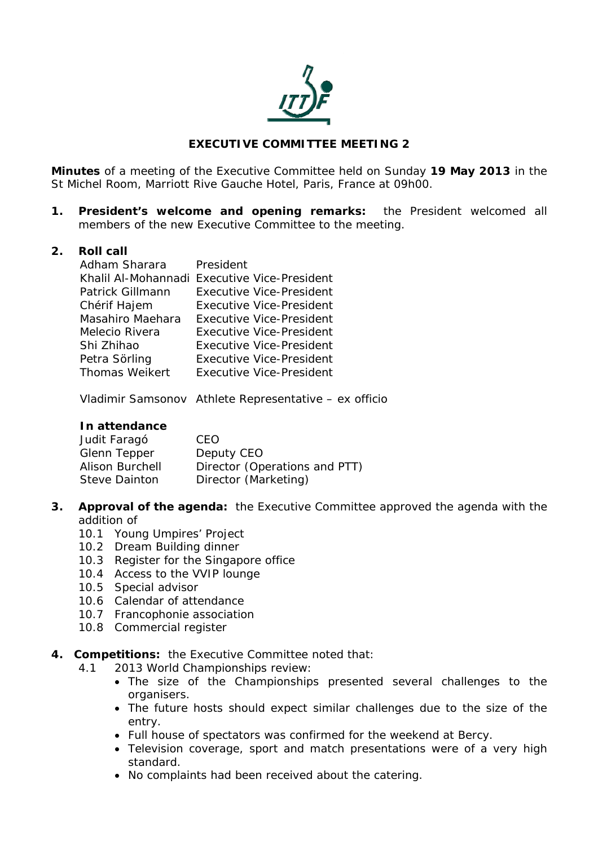

# **EXECUTIVE COMMITTEE MEETING 2**

**Minutes** of a meeting of the Executive Committee held on Sunday **19 May 2013** in the St Michel Room, Marriott Rive Gauche Hotel, Paris, France at 09h00.

**1. President's welcome and opening remarks:** the President welcomed all members of the new Executive Committee to the meeting.

#### **2. Roll call**

| Adham Sharara         | President                                    |
|-----------------------|----------------------------------------------|
|                       | Khalil Al-Mohannadi Executive Vice-President |
| Patrick Gillmann      | <b>Executive Vice-President</b>              |
| Chérif Hajem          | <b>Executive Vice-President</b>              |
| Masahiro Maehara      | <b>Executive Vice-President</b>              |
| Melecio Rivera        | <b>Executive Vice-President</b>              |
| Shi Zhihao            | <b>Executive Vice-President</b>              |
| Petra Sörling         | <b>Executive Vice-President</b>              |
| <b>Thomas Weikert</b> | <b>Executive Vice-President</b>              |

Vladimir Samsonov Athlete Representative – ex officio

#### **In attendance**

| Judit Faragó           | CFO.                          |
|------------------------|-------------------------------|
| Glenn Tepper           | Deputy CEO                    |
| <b>Alison Burchell</b> | Director (Operations and PTT) |
| Steve Dainton          | Director (Marketing)          |

- **3. Approval of the agenda:** the Executive Committee approved the agenda with the addition of
	- 10.1 Young Umpires' Project
	- 10.2 Dream Building dinner
	- 10.3 Register for the Singapore office
	- 10.4 Access to the VVIP lounge
	- 10.5 Special advisor
	- 10.6 Calendar of attendance
	- 10.7 Francophonie association
	- 10.8 Commercial register
- **4. Competitions:** the Executive Committee noted that:
	- 4.1 2013 World Championships review:
		- The size of the Championships presented several challenges to the organisers.
		- The future hosts should expect similar challenges due to the size of the entry.
		- Full house of spectators was confirmed for the weekend at Bercy.
		- Television coverage, sport and match presentations were of a very high standard.
		- No complaints had been received about the catering.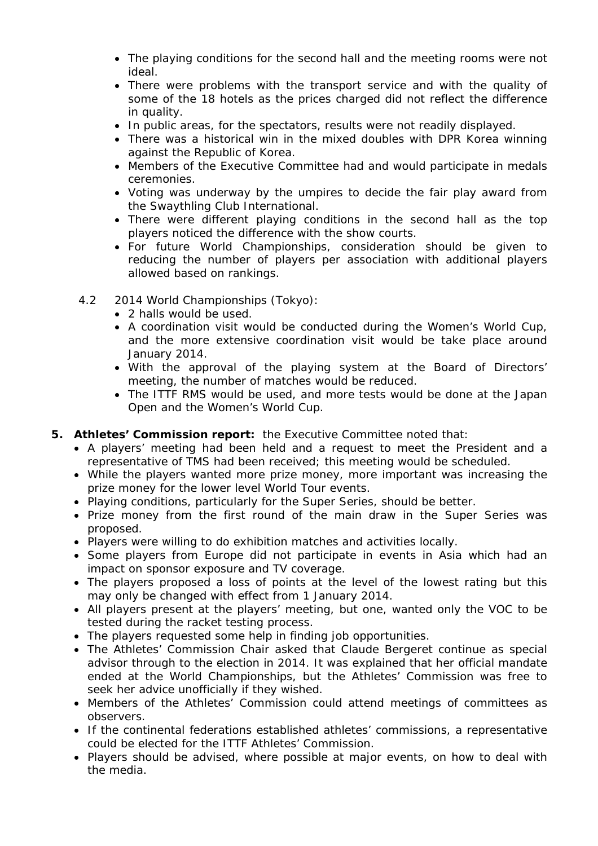- The playing conditions for the second hall and the meeting rooms were not ideal.
- There were problems with the transport service and with the quality of some of the 18 hotels as the prices charged did not reflect the difference in quality.
- In public areas, for the spectators, results were not readily displayed.
- There was a historical win in the mixed doubles with DPR Korea winning against the Republic of Korea.
- Members of the Executive Committee had and would participate in medals ceremonies.
- Voting was underway by the umpires to decide the fair play award from the Swaythling Club International.
- There were different playing conditions in the second hall as the top players noticed the difference with the show courts.
- For future World Championships, consideration should be given to reducing the number of players per association with additional players allowed based on rankings.
- 4.2 2014 World Championships (Tokyo):
	- 2 halls would be used.
	- A coordination visit would be conducted during the Women's World Cup, and the more extensive coordination visit would be take place around January 2014.
	- With the approval of the playing system at the Board of Directors' meeting, the number of matches would be reduced.
	- The ITTF RMS would be used, and more tests would be done at the Japan Open and the Women's World Cup.

## **5. Athletes' Commission report:** the Executive Committee noted that:

- A players' meeting had been held and a request to meet the President and a representative of TMS had been received; this meeting would be scheduled.
- While the players wanted more prize money, more important was increasing the prize money for the lower level World Tour events.
- Playing conditions, particularly for the Super Series, should be better.
- Prize money from the first round of the main draw in the Super Series was proposed.
- Players were willing to do exhibition matches and activities locally.
- Some players from Europe did not participate in events in Asia which had an impact on sponsor exposure and TV coverage.
- The players proposed a loss of points at the level of the lowest rating but this may only be changed with effect from 1 January 2014.
- All players present at the players' meeting, but one, wanted only the VOC to be tested during the racket testing process.
- The players requested some help in finding job opportunities.
- The Athletes' Commission Chair asked that Claude Bergeret continue as special advisor through to the election in 2014. It was explained that her official mandate ended at the World Championships, but the Athletes' Commission was free to seek her advice unofficially if they wished.
- Members of the Athletes' Commission could attend meetings of committees as observers.
- If the continental federations established athletes' commissions, a representative could be elected for the ITTF Athletes' Commission.
- Players should be advised, where possible at major events, on how to deal with the media.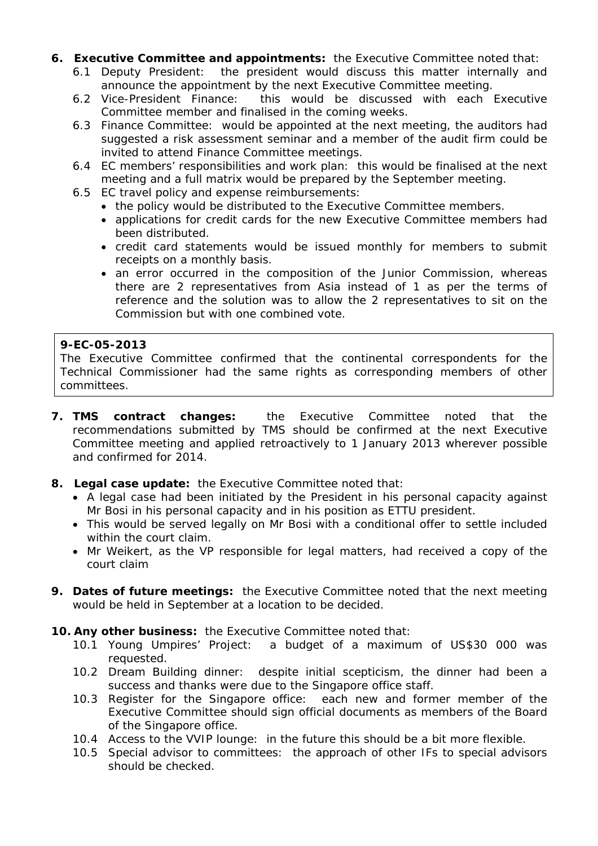- **6. Executive Committee and appointments:** the Executive Committee noted that:
	- 6.1 Deputy President: the president would discuss this matter internally and announce the appointment by the next Executive Committee meeting.
	- 6.2 Vice-President Finance: this would be discussed with each Executive Committee member and finalised in the coming weeks.
	- 6.3 Finance Committee: would be appointed at the next meeting, the auditors had suggested a risk assessment seminar and a member of the audit firm could be invited to attend Finance Committee meetings.
	- 6.4 EC members' responsibilities and work plan: this would be finalised at the next meeting and a full matrix would be prepared by the September meeting.
	- 6.5 EC travel policy and expense reimbursements:
		- the policy would be distributed to the Executive Committee members.
		- applications for credit cards for the new Executive Committee members had been distributed.
		- credit card statements would be issued monthly for members to submit receipts on a monthly basis.
		- an error occurred in the composition of the Junior Commission, whereas there are 2 representatives from Asia instead of 1 as per the terms of reference and the solution was to allow the 2 representatives to sit on the Commission but with one combined vote.

### **9-EC-05-2013**

The Executive Committee confirmed that the continental correspondents for the Technical Commissioner had the same rights as corresponding members of other committees.

- **7. TMS contract changes:** the Executive Committee noted that the recommendations submitted by TMS should be confirmed at the next Executive Committee meeting and applied retroactively to 1 January 2013 wherever possible and confirmed for 2014.
- **8. Legal case update:** the Executive Committee noted that:
	- A legal case had been initiated by the President in his personal capacity against Mr Bosi in his personal capacity and in his position as ETTU president.
	- This would be served legally on Mr Bosi with a conditional offer to settle included within the court claim.
	- Mr Weikert, as the VP responsible for legal matters, had received a copy of the court claim
- **9. Dates of future meetings:** the Executive Committee noted that the next meeting would be held in September at a location to be decided.
- **10. Any other business:** the Executive Committee noted that:
	- 10.1 Young Umpires' Project: a budget of a maximum of US\$30 000 was requested.
	- 10.2 Dream Building dinner: despite initial scepticism, the dinner had been a success and thanks were due to the Singapore office staff.
	- 10.3 Register for the Singapore office: each new and former member of the Executive Committee should sign official documents as members of the Board of the Singapore office.
	- 10.4 Access to the VVIP lounge: in the future this should be a bit more flexible.
	- 10.5 Special advisor to committees: the approach of other IFs to special advisors should be checked.